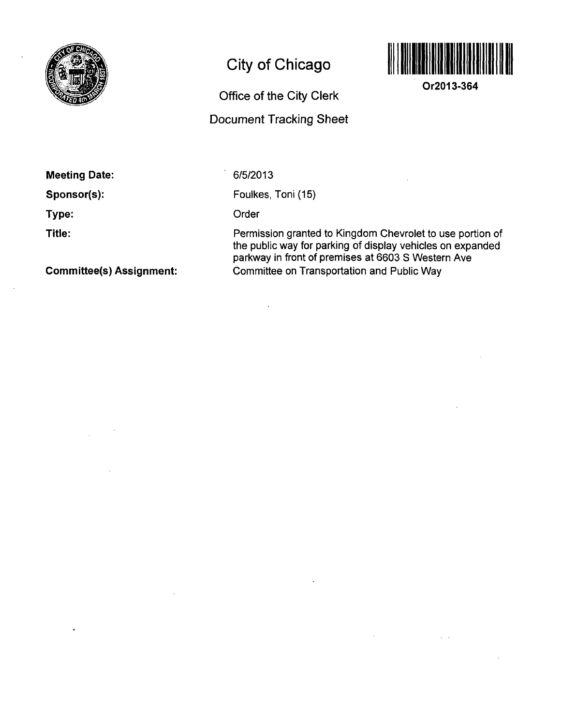

## **City of Chicago**

## **Office of the City Clerk**

## **Document Tracking Sheet**



**Or2013-364** 

**Meeting Date:** 

**Sponsor(s):** 

**Type:** 

**Title:** 

**Committee(s) Assignment:** 

6/5/2013

Foulkes, Toni (15)

Order

Permission granted to Kingdom Chevrolet to use portion of the public way for parking of display vehicles on expanded parkway in front of premises at 6603 S Western Ave Committee on Transportation and Public Way